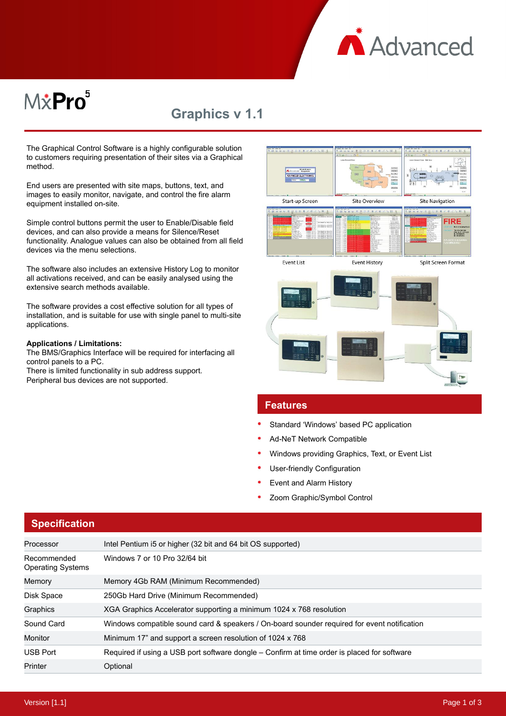**A** Advanced

# M&Pro<sup>5</sup>

# **Graphics v 1.1**

The Graphical Control Software is a highly configurable solution to customers requiring presentation of their sites via a Graphical method.

End users are presented with site maps, buttons, text, and images to easily monitor, navigate, and control the fire alarm equipment installed on-site.

Simple control buttons permit the user to Enable/Disable field devices, and can also provide a means for Silence/Reset functionality. Analogue values can also be obtained from all field devices via the menu selections.

The software also includes an extensive History Log to monitor all activations received, and can be easily analysed using the extensive search methods available.

The software provides a cost effective solution for all types of installation, and is suitable for use with single panel to multi-site applications.

#### **Applications / Limitations:**

The BMS/Graphics Interface will be required for interfacing all control panels to a PC. There is limited functionality in sub address support.

Peripheral bus devices are not supported.



## **Features**

- Standard 'Windows' based PC application
- Ad-NeT Network Compatible
- Windows providing Graphics, Text, or Event List
- User-friendly Configuration
- Event and Alarm History
- Zoom Graphic/Symbol Control

| <b>Specification</b>                    |                                                                                             |  |
|-----------------------------------------|---------------------------------------------------------------------------------------------|--|
| Processor                               | Intel Pentium i5 or higher (32 bit and 64 bit OS supported)                                 |  |
| Recommended<br><b>Operating Systems</b> | Windows 7 or 10 Pro 32/64 bit                                                               |  |
| Memory                                  | Memory 4Gb RAM (Minimum Recommended)                                                        |  |
| Disk Space                              | 250Gb Hard Drive (Minimum Recommended)                                                      |  |
| Graphics                                | XGA Graphics Accelerator supporting a minimum 1024 x 768 resolution                         |  |
| Sound Card                              | Windows compatible sound card & speakers / On-board sounder required for event notification |  |
| Monitor                                 | Minimum 17" and support a screen resolution of 1024 x 768                                   |  |
| <b>USB Port</b>                         | Required if using a USB port software dongle – Confirm at time order is placed for software |  |
| Printer                                 | Optional                                                                                    |  |

#### Version [1.1] Page 1 of 3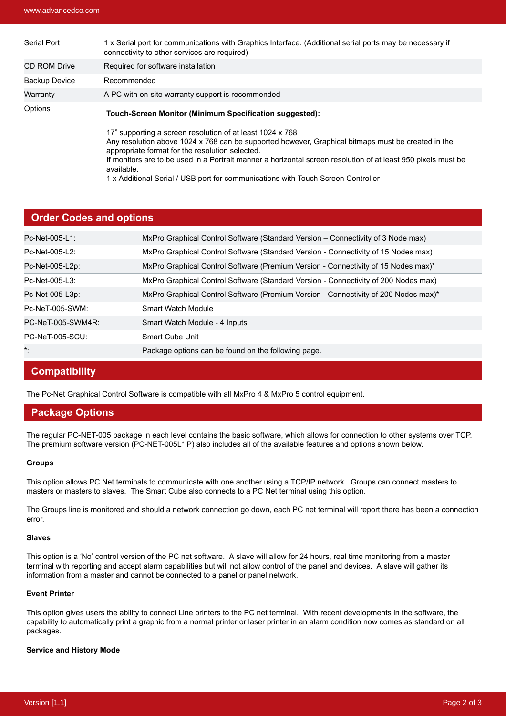| Serial Port          | 1 x Serial port for communications with Graphics Interface. (Additional serial ports may be necessary if<br>connectivity to other services are required)                                                                                                                                                                                                                                                                              |  |
|----------------------|---------------------------------------------------------------------------------------------------------------------------------------------------------------------------------------------------------------------------------------------------------------------------------------------------------------------------------------------------------------------------------------------------------------------------------------|--|
| <b>CD ROM Drive</b>  | Required for software installation                                                                                                                                                                                                                                                                                                                                                                                                    |  |
| <b>Backup Device</b> | Recommended                                                                                                                                                                                                                                                                                                                                                                                                                           |  |
| Warranty             | A PC with on-site warranty support is recommended                                                                                                                                                                                                                                                                                                                                                                                     |  |
| Options              | Touch-Screen Monitor (Minimum Specification suggested):                                                                                                                                                                                                                                                                                                                                                                               |  |
|                      | 17" supporting a screen resolution of at least 1024 x 768<br>Any resolution above 1024 x 768 can be supported however, Graphical bitmaps must be created in the<br>appropriate format for the resolution selected.<br>If monitors are to be used in a Portrait manner a horizontal screen resolution of at least 950 pixels must be<br>available.<br>1 x Additional Serial / USB port for communications with Touch Screen Controller |  |

### **Order Codes and options**

| Pc-Net-005-L1:    | MxPro Graphical Control Software (Standard Version - Connectivity of 3 Node max)    |
|-------------------|-------------------------------------------------------------------------------------|
| Pc-Net-005-L2:    | MxPro Graphical Control Software (Standard Version - Connectivity of 15 Nodes max)  |
| Pc-Net-005-L2p:   | MxPro Graphical Control Software (Premium Version - Connectivity of 15 Nodes max)*  |
| Pc-Net-005-L3:    | MxPro Graphical Control Software (Standard Version - Connectivity of 200 Nodes max) |
| Pc-Net-005-L3p:   | MxPro Graphical Control Software (Premium Version - Connectivity of 200 Nodes max)* |
| Pc-NeT-005-SWM:   | Smart Watch Module                                                                  |
| PC-NeT-005-SWM4R: | Smart Watch Module - 4 Inputs                                                       |
| PC-NeT-005-SCU:   | Smart Cube Unit                                                                     |
| $\star$ .         | Package options can be found on the following page.                                 |

# **Compatibility**

The Pc-Net Graphical Control Software is compatible with all MxPro 4 & MxPro 5 control equipment.

# **Package Options**

The regular PC-NET-005 package in each level contains the basic software, which allows for connection to other systems over TCP. The premium software version (PC-NET-005L\* P) also includes all of the available features and options shown below.

#### **Groups**

This option allows PC Net terminals to communicate with one another using a TCP/IP network. Groups can connect masters to masters or masters to slaves. The Smart Cube also connects to a PC Net terminal using this option.

The Groups line is monitored and should a network connection go down, each PC net terminal will report there has been a connection error.

#### **Slaves**

This option is a 'No' control version of the PC net software. A slave will allow for 24 hours, real time monitoring from a master terminal with reporting and accept alarm capabilities but will not allow control of the panel and devices. A slave will gather its information from a master and cannot be connected to a panel or panel network.

#### **Event Printer**

This option gives users the ability to connect Line printers to the PC net terminal. With recent developments in the software, the capability to automatically print a graphic from a normal printer or laser printer in an alarm condition now comes as standard on all packages.

#### **Service and History Mode**